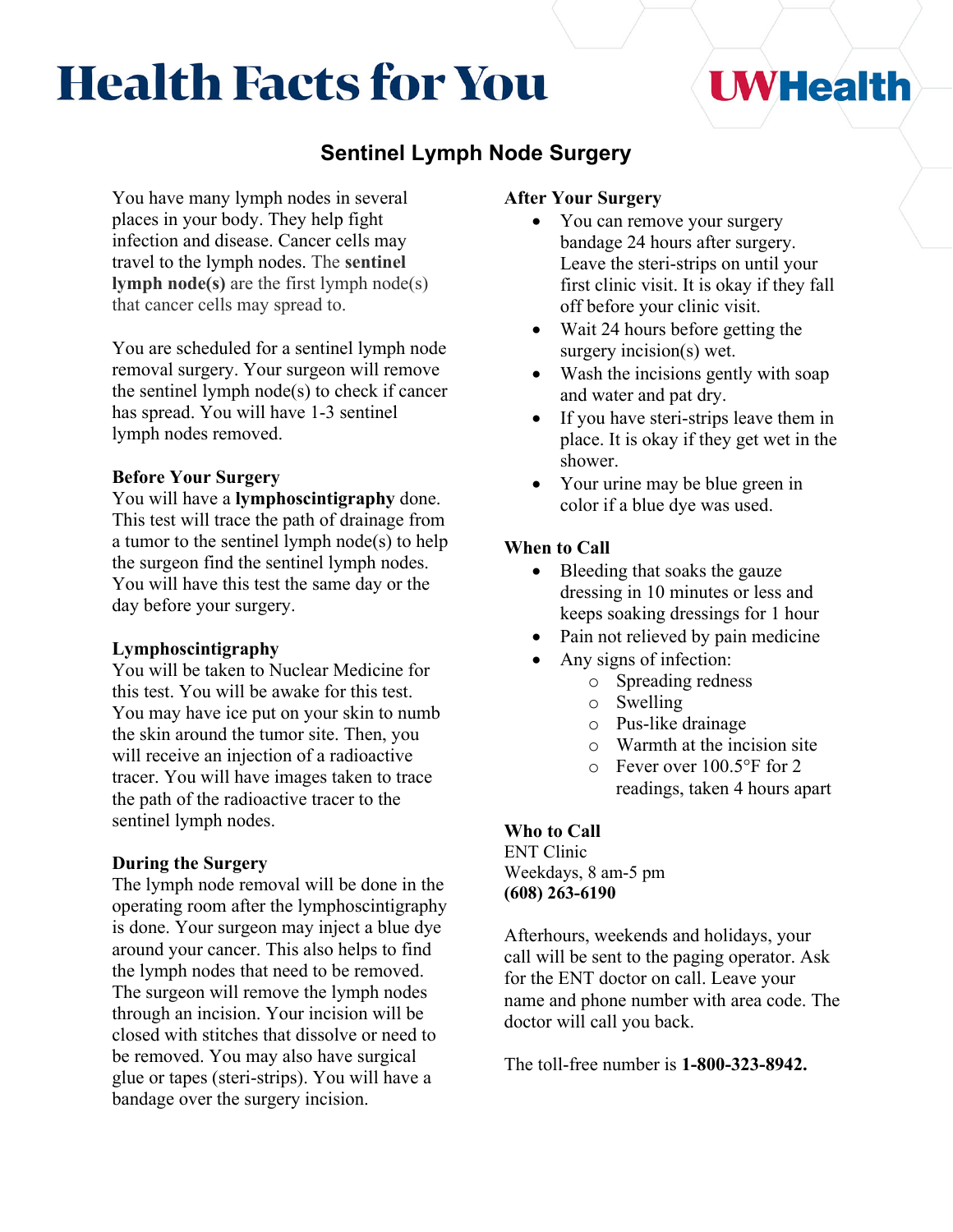# **Health Facts for You**

## **UWHealth**

### **Sentinel Lymph Node Surgery**

You have many lymph nodes in several places in your body. They help fight infection and disease. Cancer cells may travel to the lymph nodes. The **sentinel lymph node(s)** are the first lymph node(s) that cancer cells may spread to.

You are scheduled for a sentinel lymph node removal surgery. Your surgeon will remove the sentinel lymph node(s) to check if cancer has spread. You will have 1-3 sentinel lymph nodes removed.

#### **Before Your Surgery**

You will have a **lymphoscintigraphy** done. This test will trace the path of drainage from a tumor to the sentinel lymph node(s) to help the surgeon find the sentinel lymph nodes. You will have this test the same day or the day before your surgery.

#### **Lymphoscintigraphy**

You will be taken to Nuclear Medicine for this test. You will be awake for this test. You may have ice put on your skin to numb the skin around the tumor site. Then, you will receive an injection of a radioactive tracer. You will have images taken to trace the path of the radioactive tracer to the sentinel lymph nodes.

#### **During the Surgery**

The lymph node removal will be done in the operating room after the lymphoscintigraphy is done. Your surgeon may inject a blue dye around your cancer. This also helps to find the lymph nodes that need to be removed. The surgeon will remove the lymph nodes through an incision. Your incision will be closed with stitches that dissolve or need to be removed. You may also have surgical glue or tapes (steri-strips). You will have a bandage over the surgery incision.

#### **After Your Surgery**

- You can remove your surgery bandage 24 hours after surgery. Leave the steri-strips on until your first clinic visit. It is okay if they fall off before your clinic visit.
- Wait 24 hours before getting the surgery incision(s) wet.
- Wash the incisions gently with soap and water and pat dry.
- If you have steri-strips leave them in place. It is okay if they get wet in the shower.
- Your urine may be blue green in color if a blue dye was used.

#### **When to Call**

- Bleeding that soaks the gauze dressing in 10 minutes or less and keeps soaking dressings for 1 hour
- Pain not relieved by pain medicine
- Any signs of infection:
	- o Spreading redness
	- o Swelling
	- o Pus-like drainage
	- o Warmth at the incision site
	- o Fever over 100.5°F for 2 readings, taken 4 hours apart

#### **Who to Call**

ENT Clinic Weekdays, 8 am-5 pm **(608) 263-6190**

Afterhours, weekends and holidays, your call will be sent to the paging operator. Ask for the ENT doctor on call. Leave your name and phone number with area code. The doctor will call you back.

The toll-free number is **1-800-323-8942.**